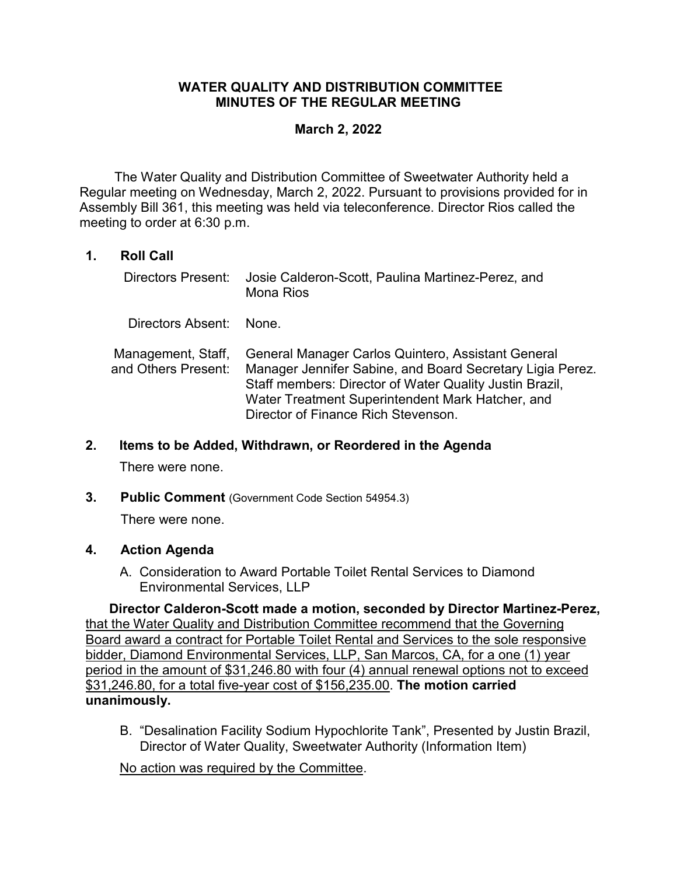## **WATER QUALITY AND DISTRIBUTION COMMITTEE MINUTES OF THE REGULAR MEETING**

## **March 2, 2022**

The Water Quality and Distribution Committee of Sweetwater Authority held a Regular meeting on Wednesday, March 2, 2022. Pursuant to provisions provided for in Assembly Bill 361, this meeting was held via teleconference. Director Rios called the meeting to order at 6:30 p.m.

# **1. Roll Call**

| Directors Present:                        | Josie Calderon-Scott, Paulina Martinez-Perez, and<br><b>Mona Rios</b>                                                                                                                                                                                                 |
|-------------------------------------------|-----------------------------------------------------------------------------------------------------------------------------------------------------------------------------------------------------------------------------------------------------------------------|
| Directors Absent: None.                   |                                                                                                                                                                                                                                                                       |
| Management, Staff,<br>and Others Present: | General Manager Carlos Quintero, Assistant General<br>Manager Jennifer Sabine, and Board Secretary Ligia Perez.<br>Staff members: Director of Water Quality Justin Brazil,<br>Water Treatment Superintendent Mark Hatcher, and<br>Director of Finance Rich Stevenson. |

### **2. Items to be Added, Withdrawn, or Reordered in the Agenda**

There were none.

**3. Public Comment** (Government Code Section 54954.3)

There were none.

### **4. Action Agenda**

A. Consideration to Award Portable Toilet Rental Services to Diamond Environmental Services, LLP

**Director Calderon-Scott made a motion, seconded by Director Martinez-Perez,**  that the Water Quality and Distribution Committee recommend that the Governing Board award a contract for Portable Toilet Rental and Services to the sole responsive bidder, Diamond Environmental Services, LLP, San Marcos, CA, for a one (1) year period in the amount of \$31,246.80 with four (4) annual renewal options not to exceed \$31,246.80, for a total five-year cost of \$156,235.00. **The motion carried unanimously.**

B. "Desalination Facility Sodium Hypochlorite Tank", Presented by Justin Brazil, Director of Water Quality, Sweetwater Authority (Information Item)

No action was required by the Committee.